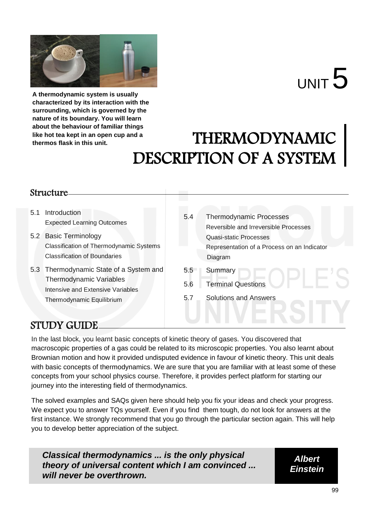

# $U$ NIT  $5$

**A thermodynamic system is usually characterized by its interaction with the surrounding, which is governed by the nature of its boundary. You will learn about the behaviour of familiar things like hot tea kept in an open cup and a thermos flask in this unit.**

## THERMODYNAMIC DESCRIPTION OF A SYSTEM

## Structure

- 5.1 Introduction Expected Learning Outcomes
- 5.2 Basic Terminology Classification of Thermodynamic Systems Classification of Boundaries
- 5.3 Thermodynamic State of a System and Thermodynamic Variables Intensive and Extensive Variables Thermodynamic Equilibrium
- 5.4 Thermodynamic Processes Reversible and Irreversible Processes Quasi-static Processes Representation of a Process on an Indicator Diagram 5.5 Summary
- 5.6 Terminal Questions
- 5.7 Solutions and Answers

## STUDY GUIDE

In the last block, you learnt basic concepts of kinetic theory of gases. You discovered that macroscopic properties of a gas could be related to its microscopic properties. You also learnt about Brownian motion and how it provided undisputed evidence in favour of kinetic theory. This unit deals with basic concepts of thermodynamics. We are sure that you are familiar with at least some of these concepts from your school physics course. Therefore, it provides perfect platform for starting our journey into the interesting field of thermodynamics.

The solved examples and SAQs given here should help you fix your ideas and check your progress. We expect you to answer TQs yourself. Even if you find them tough, do not look for answers at the first instance. We strongly recommend that you go through the particular section again. This will help you to develop better appreciation of the subject.

*Classical thermodynamics ... is the only physical theory of universal content which I am convinced ... will never be overthrown.*

*Albert Einstein*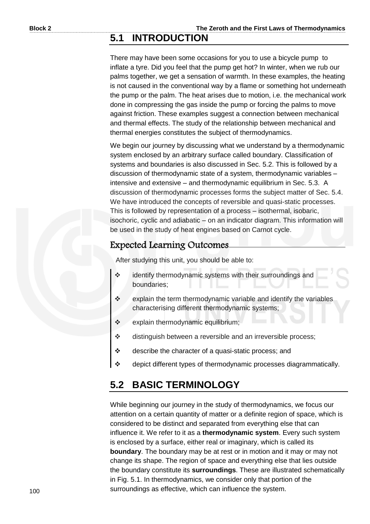## **5.1 INTRODUCTION**

There may have been some occasions for you to use a bicycle pump to inflate a tyre. Did you feel that the pump get hot? In winter, when we rub our palms together, we get a sensation of warmth. In these examples, the heating is not caused in the conventional way by a flame or something hot underneath the pump or the palm. The heat arises due to motion, i.e. the mechanical work done in compressing the gas inside the pump or forcing the palms to move against friction. These examples suggest a connection between mechanical and thermal effects. The study of the relationship between mechanical and thermal energies constitutes the subject of thermodynamics.

We begin our journey by discussing what we understand by a thermodynamic system enclosed by an arbitrary surface called boundary. Classification of systems and boundaries is also discussed in Sec. 5.2. This is followed by a discussion of thermodynamic state of a system, thermodynamic variables – intensive and extensive – and thermodynamic equilibrium in Sec. 5.3. A discussion of thermodynamic processes forms the subject matter of Sec. 5.4. We have introduced the concepts of reversible and quasi-static processes. This is followed by representation of a process – isothermal, isobaric, isochoric, cyclic and adiabatic – on an indicator diagram. This information will be used in the study of heat engines based on Carnot cycle.

## Expected Learning Outcomes

After studying this unit, you should be able to:

- identify thermodynamic systems with their surroundings and boundaries;
- $\div$  explain the term thermodynamic variable and identify the variables characterising different thermodynamic systems;
- $\div$  explain thermodynamic equilibrium;
- $\div$  distinguish between a reversible and an irreversible process;
- describe the character of a quasi-static process; and
- \* depict different types of thermodynamic processes diagrammatically.

## **5.2 BASIC TERMINOLOGY**

While beginning our journey in the study of thermodynamics, we focus our attention on a certain quantity of matter or a definite region of space, which is considered to be distinct and separated from everything else that can influence it. We refer to it as a **thermodynamic system**. Every such system is enclosed by a surface, either real or imaginary, which is called its **boundary**. The boundary may be at rest or in motion and it may or may not change its shape. The region of space and everything else that lies outside the boundary constitute its **surroundings**. These are illustrated schematically in Fig. 5.1. In thermodynamics, we consider only that portion of the surroundings as effective, which can influence the system.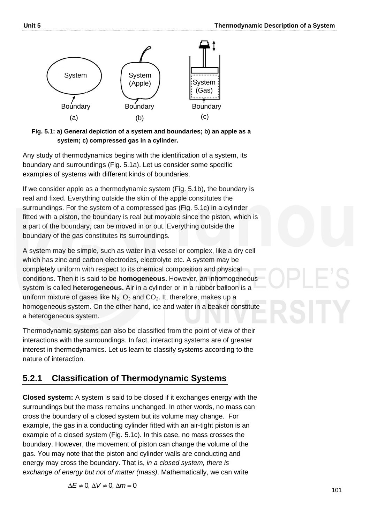

**Fig. 5.1: a) General depiction of a system and boundaries; b) an apple as a system; c) compressed gas in a cylinder.**

Any study of thermodynamics begins with the identification of a system, its boundary and surroundings (Fig. 5.1a). Let us consider some specific examples of systems with different kinds of boundaries.

If we consider apple as a thermodynamic system (Fig. 5.1b), the boundary is real and fixed. Everything outside the skin of the apple constitutes the surroundings. For the system of a compressed gas (Fig. 5.1c) in a cylinder fitted with a piston, the boundary is real but movable since the piston, which is a part of the boundary, can be moved in or out. Everything outside the boundary of the gas constitutes its surroundings.

A system may be simple, such as water in a vessel or complex, like a dry cell which has zinc and carbon electrodes, electrolyte etc. A system may be completely uniform with respect to its chemical composition and physical conditions. Then it is said to be **homogeneous.** However, an inhomogeneous system is called **heterogeneous.** Air in a cylinder or in a rubber balloon is a uniform mixture of gases like  $N_2$ ,  $O_2$  and  $CO_2$ . It, therefore, makes up a homogeneous system. On the other hand, ice and water in a beaker constitute a heterogeneous system.

Thermodynamic systems can also be classified from the point of view of their interactions with the surroundings. In fact, interacting systems are of greater interest in thermodynamics. Let us learn to classify systems according to the nature of interaction.

## **5.2.1 Classification of Thermodynamic Systems**

**Closed system:** A system is said to be closed if it exchanges energy with the surroundings but the mass remains unchanged. In other words, no mass can cross the boundary of a closed system but its volume may change. For example, the gas in a conducting cylinder fitted with an air-tight piston is an example of a closed system (Fig. 5.1c). In this case, no mass crosses the boundary. However, the movement of piston can change the volume of the gas. You may note that the piston and cylinder walls are conducting and energy may cross the boundary. That is, *in a closed system, there is exchange of energy but not of matter (mass)*. Mathematically, we can write

 $\Delta E \neq 0$ ,  $\Delta V \neq 0$ ,  $\Delta m = 0$ 

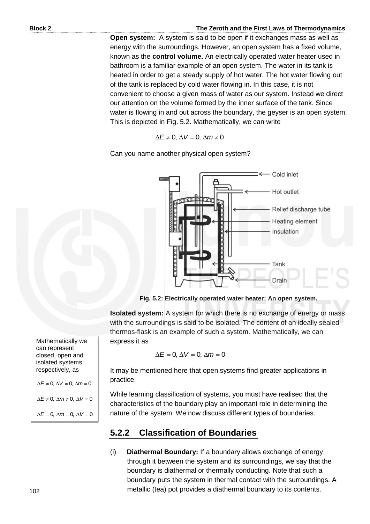#### **Block 2 The Zeroth and the First Laws of Thermodynamics**

**Open system:** A system is said to be open if it exchanges mass as well as energy with the surroundings. However, an open system has a fixed volume, known as the **control volume.** An electrically operated water heater used in bathroom is a familiar example of an open system. The water in its tank is heated in order to get a steady supply of hot water. The hot water flowing out of the tank is replaced by cold water flowing in. In this case, it is not convenient to choose a given mass of water as our system. Instead we direct our attention on the volume formed by the inner surface of the tank. Since water is flowing in and out across the boundary, the geyser is an open system. This is depicted in Fig. 5.2. Mathematically, we can write

$$
\Delta E \neq 0, \, \Delta V = 0, \, \Delta m \neq 0
$$

Can you name another physical open system?



**Fig. 5.2: Electrically operated water heater: An open system.**

**Isolated system:** A system for which there is no exchange of energy or mass with the surroundings is said to be isolated. The content of an ideally sealed thermos-flask is an example of such a system. Mathematically, we can express it as

$$
\Delta E = 0, \, \Delta V = 0, \, \Delta m = 0
$$

It may be mentioned here that open systems find greater applications in practice.

While learning classification of systems, you must have realised that the characteristics of the boundary play an important role in determining the nature of the system. We now discuss different types of boundaries.

## **5.2.2 Classification of Boundaries**

(i) **Diathermal Boundary:** If a boundary allows exchange of energy through it between the system and its surroundings, we say that the boundary is diathermal or thermally conducting. Note that such a boundary puts the system in thermal contact with the surroundings. A metallic (tea) pot provides a diathermal boundary to its contents.

Mathematically we can represent closed, open and isolated systems, respectively, as

 $\Delta E \neq 0$ ,  $\Delta V \neq 0$ ,  $\Delta m = 0$  $\Delta E \neq 0$ ,  $\Delta m \neq 0$ ,  $\Delta V = 0$ 

 $\Delta E = 0$ ,  $\Delta m = 0$ ,  $\Delta V = 0$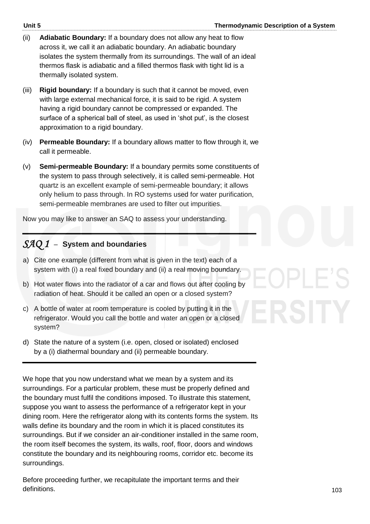- (ii) **Adiabatic Boundary:** If a boundary does not allow any heat to flow across it, we call it an adiabatic boundary. An adiabatic boundary isolates the system thermally from its surroundings. The wall of an ideal thermos flask is adiabatic and a filled thermos flask with tight lid is a thermally isolated system.
- (iii) **Rigid boundary:** If a boundary is such that it cannot be moved, even with large external mechanical force, it is said to be rigid. A system having a rigid boundary cannot be compressed or expanded. The surface of a spherical ball of steel, as used in 'shot put', is the closest approximation to a rigid boundary.
- (iv) **Permeable Boundary:** If a boundary allows matter to flow through it, we call it permeable.
- (v) **Semi-permeable Boundary:** If a boundary permits some constituents of the system to pass through selectively, it is called semi-permeable. Hot quartz is an excellent example of semi-permeable boundary; it allows only helium to pass through. In RO systems used for water purification, semi-permeable membranes are used to filter out impurities.

Now you may like to answer an SAQ to assess your understanding.

## *SAQ 1* –**System and boundaries**

- a) Cite one example (different from what is given in the text) each of a system with (i) a real fixed boundary and (ii) a real moving boundary.
- b) Hot water flows into the radiator of a car and flows out after cooling by radiation of heat. Should it be called an open or a closed system?
- c) A bottle of water at room temperature is cooled by putting it in the refrigerator. Would you call the bottle and water an open or a closed system?
- d) State the nature of a system (i.e. open, closed or isolated) enclosed by a (i) diathermal boundary and (ii) permeable boundary.

We hope that you now understand what we mean by a system and its surroundings. For a particular problem, these must be properly defined and the boundary must fulfil the conditions imposed. To illustrate this statement, suppose you want to assess the performance of a refrigerator kept in your dining room. Here the refrigerator along with its contents forms the system. Its walls define its boundary and the room in which it is placed constitutes its surroundings. But if we consider an air-conditioner installed in the same room, the room itself becomes the system, its walls, roof, floor, doors and windows constitute the boundary and its neighbouring rooms, corridor etc. become its surroundings.

Before proceeding further, we recapitulate the important terms and their definitions.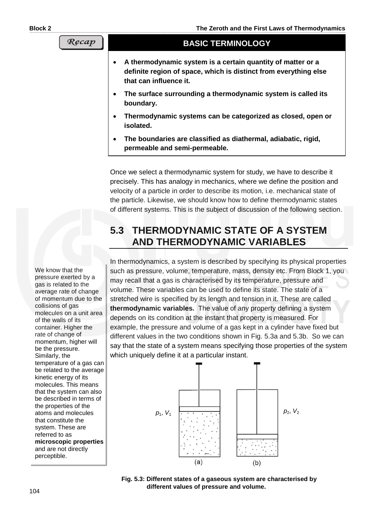```
Recap
```
#### **BASIC TERMINOLOGY**

- **A thermodynamic system is a certain quantity of matter or a definite region of space, which is distinct from everything else that can influence it.**
- **The surface surrounding a thermodynamic system is called its boundary.**
- **Thermodynamic systems can be categorized as closed, open or isolated.**
- **The boundaries are classified as diathermal, adiabatic, rigid, permeable and semi-permeable.**

Once we select a thermodynamic system for study, we have to describe it precisely. This has analogy in mechanics, where we define the position and velocity of a particle in order to describe its motion, i.e. mechanical state of the particle. Likewise, we should know how to define thermodynamic states of different systems. This is the subject of discussion of the following section.

## **5.3 THERMODYNAMIC STATE OF A SYSTEM AND THERMODYNAMIC VARIABLES**

In thermodynamics, a system is described by specifying its physical properties such as pressure, volume, temperature, mass, density etc. From Block 1, you may recall that a gas is characterised by its temperature, pressure and volume. These variables can be used to define its state. The state of a stretched wire is specified by its length and tension in it. These are called **thermodynamic variables.** The value of any property defining a system depends on its condition at the instant that property is measured. For example, the pressure and volume of a gas kept in a cylinder have fixed but different values in the two conditions shown in Fig. 5.3a and 5.3b. So we can say that the state of a system means specifying those properties of the system which uniquely define it at a particular instant.



**Fig. 5.3: Different states of a gaseous system are characterised by different values of pressure and volume.**

We know that the pressure exerted by a gas is related to the average rate of change of momentum due to the collisions of gas molecules on a unit area of the walls of its container. Higher the rate of change of momentum, higher will be the pressure. Similarly, the temperature of a gas can be related to the average kinetic energy of its molecules. This means that the system can also be described in terms of the properties of the atoms and molecules that constitute the system. These are referred to as **microscopic properties**  and are not directly perceptible.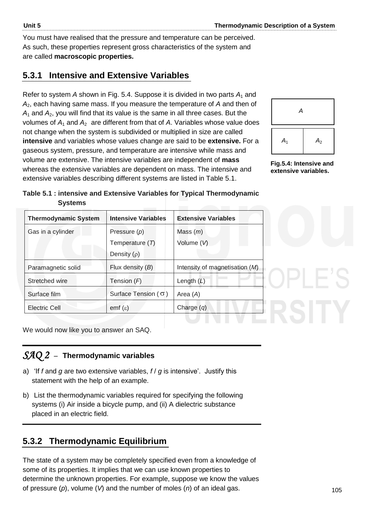You must have realised that the pressure and temperature can be perceived. As such, these properties represent gross characteristics of the system and are called **macroscopic properties.** 

## **5.3.1 Intensive and Extensive Variables**

Refer to system *A* shown in Fig. 5.4. Suppose it is divided in two parts *A*1 and *A*2, each having same mass. If you measure the temperature of *A* and then of *A*<sup>1</sup> and *A*2, you will find that its value is the same in all three cases. But the volumes of  $A_1$  and  $A_2$  are different from that of  $A$ . Variables whose value does not change when the system is subdivided or multiplied in size are called **intensive** and variables whose values change are said to be **extensive.** For a gaseous system, pressure, and temperature are intensive while mass and volume are extensive. The intensive variables are independent of **mass** whereas the extensive variables are dependent on mass. The intensive and extensive variables describing different systems are listed in Table 5.1.



**Fig.5.4: Intensive and extensive variables.**

| Table 5.1 : intensive and Extensive Variables for Typical Thermodynamic |  |
|-------------------------------------------------------------------------|--|
| <b>Systems</b>                                                          |  |

| <b>Thermodynamic System</b> | <b>Intensive Variables</b>   | <b>Extensive Variables</b>       |
|-----------------------------|------------------------------|----------------------------------|
| Gas in a cylinder           | Pressure $(p)$               | Mass $(m)$                       |
|                             | Temperature (T)              | Volume (V)                       |
|                             | Density $(\rho)$             |                                  |
| Paramagnetic solid          | Flux density $(B)$           | Intensity of magnetisation $(M)$ |
| Stretched wire              | Tension $(F)$                | Length $(L)$                     |
| Surface film                | Surface Tension ( $\sigma$ ) | Area $(A)$                       |
| Electric Cell               | $emf(\varepsilon)$           | Charge $(q)$                     |

We would now like you to answer an SAQ.

## *SAQ 2* –**Thermodynamic variables**

- a) 'If *f* and *g* are two extensive variables, *f* / *g* is intensive'. Justify this statement with the help of an example.
- b) List the thermodynamic variables required for specifying the following systems (i) Air inside a bicycle pump, and (ii) A dielectric substance placed in an electric field.

## **5.3.2 Thermodynamic Equilibrium**

The state of a system may be completely specified even from a knowledge of some of its properties. It implies that we can use known properties to determine the unknown properties. For example, suppose we know the values of pressure (*p*), volume (*V*) and the number of moles (*n*) of an ideal gas.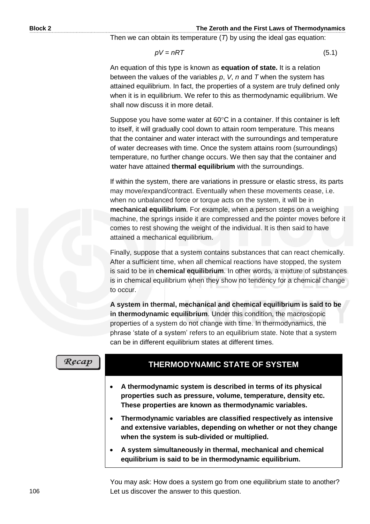#### **Block 2 The Zeroth and the First Laws of Thermodynamics**

Then we can obtain its temperature (*T*) by using the ideal gas equation:

$$
pV = nRT \tag{5.1}
$$

An equation of this type is known as **equation of state.** It is a relation between the values of the variables *p*, *V*, *n* and *T* when the system has attained equilibrium. In fact, the properties of a system are truly defined only when it is in equilibrium. We refer to this as thermodynamic equilibrium. We shall now discuss it in more detail.

Suppose you have some water at  $60^{\circ}$ C in a container. If this container is left to itself, it will gradually cool down to attain room temperature. This means that the container and water interact with the surroundings and temperature of water decreases with time. Once the system attains room (surroundings) temperature, no further change occurs. We then say that the container and water have attained **thermal equilibrium** with the surroundings.

If within the system, there are variations in pressure or elastic stress, its parts may move/expand/contract. Eventually when these movements cease, i.e. when no unbalanced force or torque acts on the system, it will be in **mechanical equilibrium**. For example, when a person steps on a weighing machine, the springs inside it are compressed and the pointer moves before it comes to rest showing the weight of the individual. It is then said to have attained a mechanical equilibrium.

Finally, suppose that a system contains substances that can react chemically. After a sufficient time, when all chemical reactions have stopped, the system is said to be in **chemical equilibrium**. In other words, a mixture of substances is in chemical equilibrium when they show no tendency for a chemical change to occur.

**A system in thermal, mechanical and chemical equilibrium is said to be in thermodynamic equilibrium**. Under this condition, the macroscopic properties of a system do not change with time. In thermodynamics, the phrase 'state of a system' refers to an equilibrium state. Note that a system can be in different equilibrium states at different times.

| Recap |
|-------|
|       |

## **THERMODYNAMIC STATE OF SYSTEM**

- **A thermodynamic system is described in terms of its physical properties such as pressure, volume, temperature, density etc. These properties are known as thermodynamic variables.**
- **Thermodynamic variables are classified respectively as intensive and extensive variables, depending on whether or not they change when the system is sub-divided or multiplied.**
- **A system simultaneously in thermal, mechanical and chemical equilibrium is said to be in thermodynamic equilibrium.**

You may ask: How does a system go from one equilibrium state to another? Let us discover the answer to this question.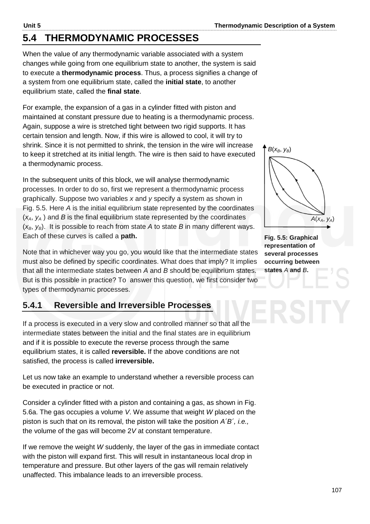## **5.4 THERMODYNAMIC PROCESSES**

When the value of any thermodynamic variable associated with a system changes while going from one equilibrium state to another, the system is said to execute a **thermodynamic process**. Thus, a process signifies a change of a system from one equilibrium state, called the **initial state**, to another equilibrium state, called the **final state**.

For example, the expansion of a gas in a cylinder fitted with piston and maintained at constant pressure due to heating is a thermodynamic process. Again, suppose a wire is stretched tight between two rigid supports. It has certain tension and length. Now, if this wire is allowed to cool, it will try to shrink. Since it is not permitted to shrink, the tension in the wire will increase to keep it stretched at its initial length. The wire is then said to have executed a thermodynamic process.

In the subsequent units of this block, we will analyse thermodynamic processes. In order to do so, first we represent a thermodynamic process graphically. Suppose two variables *x* and *y* specify a system as shown in Fig. 5.5. Here *A* is the initial equilibrium state represented by the coordinates  $(x_A, y_A)$  and *B* is the final equilibrium state represented by the coordinates  $(x_B, y_B)$ . It is possible to reach from state *A* to state *B* in many different ways. Each of these curves is called a **path.** 

Note that in whichever way you go, you would like that the intermediate states must also be defined by specific coordinates. What does that imply? It implies that all the intermediate states between *A* and *B* should be equilibrium states. But is this possible in practice? To answer this question, we first consider two types of thermodynamic processes.

## **5.4.1 Reversible and Irreversible Processes**

If a process is executed in a very slow and controlled manner so that all the intermediate states between the initial and the final states are in equilibrium and if it is possible to execute the reverse process through the same equilibrium states, it is called **reversible.** If the above conditions are not satisfied, the process is called **irreversible.** 

Let us now take an example to understand whether a reversible process can be executed in practice or not.

Consider a cylinder fitted with a piston and containing a gas, as shown in Fig. 5.6a. The gas occupies a volume *V*. We assume that weight *W* placed on the piston is such that on its removal, the piston will take the position *A´B´, i.e.,*  the volume of the gas will become 2*V* at constant temperature.

If we remove the weight *W* suddenly, the layer of the gas in immediate contact with the piston will expand first. This will result in instantaneous local drop in temperature and pressure. But other layers of the gas will remain relatively unaffected. This imbalance leads to an irreversible process.

**Fig. 5.5: Graphical representation of several processes** 

**occurring between states** *A* **and** *B***.**

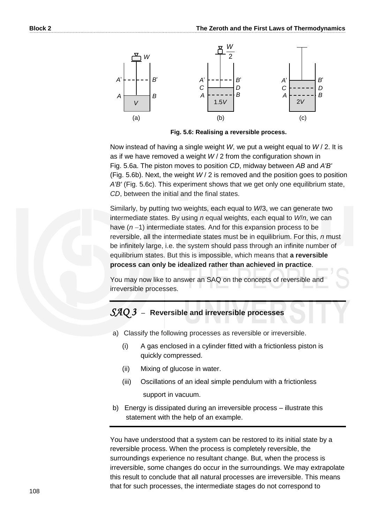

**Fig. 5.6: Realising a reversible process.** 

Now instead of having a single weight *W*, we put a weight equal to *W* / 2. It is as if we have removed a weight *W* / 2 from the configuration shown in Fig. 5.6a. The piston moves to position *CD*, midway between *AB* and *A'B'* (Fig. 5.6b). Next, the weight *W* / 2 is removed and the position goes to position *A'B'* (Fig. 5.6c). This experiment shows that we get only one equilibrium state, *CD*, between the initial and the final states.

Similarly, by putting two weights, each equal to *W*/3, we can generate two intermediate states. By using *n* equal weights, each equal to *W*/*n*, we can have  $(n-1)$  intermediate states. And for this expansion process to be reversible, all the intermediate states must be in equilibrium. For this, *n* must be infinitely large, i.e. the system should pass through an infinite number of equilibrium states. But this is impossible, which means that **a reversible process can only be idealized rather than achieved in practice**.

You may now like to answer an SAQ on the concepts of reversible and irreversible processes.

### *SAQ 3* –**Reversible and irreversible processes**

- a) Classify the following processes as reversible or irreversible.
	- (i) A gas enclosed in a cylinder fitted with a frictionless piston is quickly compressed.
	- (ii) Mixing of glucose in water.
	- (iii) Oscillations of an ideal simple pendulum with a frictionless support in vacuum.
- b) Energy is dissipated during an irreversible process illustrate this statement with the help of an example.

You have understood that a system can be restored to its initial state by a reversible process. When the process is completely reversible, the surroundings experience no resultant change. But, when the process is irreversible, some changes do occur in the surroundings. We may extrapolate this result to conclude that all natural processes are irreversible. This means that for such processes, the intermediate stages do not correspond to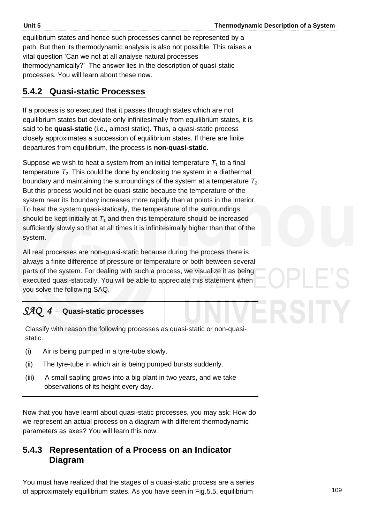equilibrium states and hence such processes cannot be represented by a path. But then its thermodynamic analysis is also not possible. This raises a vital question 'Can we not at all analyse natural processes thermodynamically?' The answer lies in the description of quasi-static processes. You will learn about these now.

## **5.4.2 Quasi-static Processes**

If a process is so executed that it passes through states which are not equilibrium states but deviate only infinitesimally from equilibrium states, it is said to be **quasi-static** (i.e., almost static). Thus, a quasi-static process closely approximates a succession of equilibrium states. If there are finite departures from equilibrium, the process is **non-quasi-static.**

Suppose we wish to heat a system from an initial temperature  $T_1$  to a final temperature  $T_2$ . This could be done by enclosing the system in a diathermal boundary and maintaining the surroundings of the system at a temperature *T*2. But this process would not be quasi-static because the temperature of the system near its boundary increases more rapidly than at points in the interior. To heat the system quasi-statically, the temperature of the surroundings should be kept initially at  $T_1$  and then this temperature should be increased sufficiently slowly so that at all times it is infinitesimally higher than that of the system.

All real processes are non-quasi-static because during the process there is always a finite difference of pressure or temperature or both between several parts of the system. For dealing with such a process, we visualize it as being executed quasi-statically. You will be able to appreciate this statement when you solve the following SAQ.

## *SAQ 4* – Quasi-static processes

.

Classify with reason the following processes as quasi-static or non-quasistatic.

- (i) Air is being pumped in a tyre-tube slowly.
- (ii) The tyre-tube in which air is being pumped bursts suddenly.
- (iii) A small sapling grows into a big plant in two years, and we take observations of its height every day.

Now that you have learnt about quasi-static processes, you may ask: How do we represent an actual process on a diagram with different thermodynamic parameters as axes? You will learn this now.

## **5.4.3 Representation of a Process on an Indicator Diagram**

You must have realized that the stages of a quasi-static process are a series of approximately equilibrium states. As you have seen in Fig.5.5, equilibrium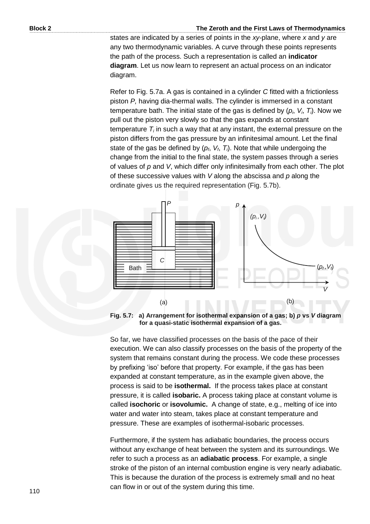#### **Block 2 The Zeroth and the First Laws of Thermodynamics**

states are indicated by a series of points in the *xy*-plane, where *x* and *y* are any two thermodynamic variables. A curve through these points represents the path of the process. Such a representation is called an **indicator diagram**. Let us now learn to represent an actual process on an indicator diagram.

Refer to Fig. 5.7a. A gas is contained in a cylinder *C* fitted with a frictionless piston *P,* having dia-thermal walls. The cylinder is immersed in a constant temperature bath. The initial state of the gas is defined by (*p<sup>i</sup>* , *V<sup>i</sup>* , *Ti*). Now we pull out the piston very slowly so that the gas expands at constant temperature  $T_i$  in such a way that at any instant, the external pressure on the piston differs from the gas pressure by an infinitesimal amount. Let the final state of the gas be defined by (*p<sup>f</sup>* , *V<sup>f</sup>* , *Ti*). Note that while undergoing the change from the initial to the final state, the system passes through a series of values of *p* and *V*, which differ only infinitesimally from each other. The plot of these successive values with *V* along the abscissa and *p* along the ordinate gives us the required representation (Fig. 5.7b).



**Fig. 5.7: a) Arrangement for isothermal expansion of a gas; b)** *p* **vs** *V* **diagram for a quasi-static isothermal expansion of a gas.** 

So far, we have classified processes on the basis of the pace of their execution. We can also classify processes on the basis of the property of the system that remains constant during the process. We code these processes by prefixing 'iso' before that property. For example, if the gas has been expanded at constant temperature, as in the example given above, the process is said to be **isothermal.** If the process takes place at constant pressure, it is called **isobaric.** A process taking place at constant volume is called **isochoric** or **isovolumic.** A change of state, e.g., melting of ice into water and water into steam, takes place at constant temperature and pressure. These are examples of isothermal-isobaric processes.

Furthermore, if the system has adiabatic boundaries, the process occurs without any exchange of heat between the system and its surroundings. We refer to such a process as an **adiabatic process**. For example, a single stroke of the piston of an internal combustion engine is very nearly adiabatic. This is because the duration of the process is extremely small and no heat can flow in or out of the system during this time.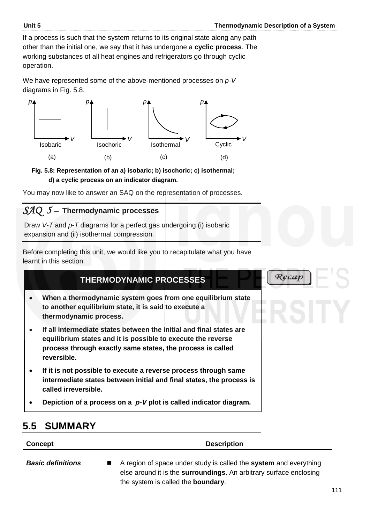If a process is such that the system returns to its original state along any path other than the initial one, we say that it has undergone a **cyclic process**. The working substances of all heat engines and refrigerators go through cyclic operation.

We have represented some of the above-mentioned processes on *p-V* diagrams in Fig. 5.8.



**Fig. 5.8: Representation of an a) isobaric; b) isochoric; c) isothermal; d) a cyclic process on an indicator diagram.** 

You may now like to answer an SAQ on the representation of processes.

## SAQ 5 - Thermodynamic processes

Draw *V*-*T* and *p*-*T* diagrams for a perfect gas undergoing (i) isobaric expansion and (ii) isothermal compression.

Before completing this unit, we would like you to recapitulate what you have learnt in this section.



**Concept Description** 

*Basic definitions* A region of space under study is called the **system** and everything else around it is the **surroundings**. An arbitrary surface enclosing the system is called the **boundary**.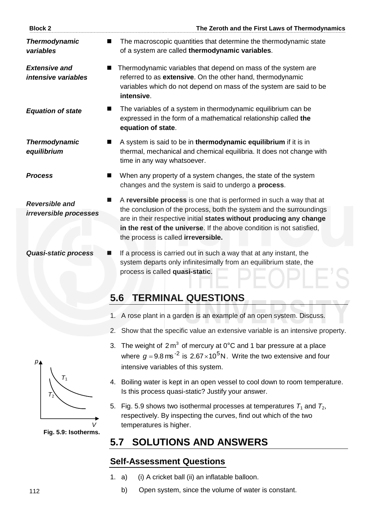| <b>Block 2</b>                                     | The Zeroth and the First Laws of Thermodynamics                                                                                                                                                                                                                                                                                   |
|----------------------------------------------------|-----------------------------------------------------------------------------------------------------------------------------------------------------------------------------------------------------------------------------------------------------------------------------------------------------------------------------------|
| <b>Thermodynamic</b><br>variables                  | The macroscopic quantities that determine the thermodynamic state<br>of a system are called thermodynamic variables.                                                                                                                                                                                                              |
| <b>Extensive and</b><br><i>intensive variables</i> | Thermodynamic variables that depend on mass of the system are<br>referred to as extensive. On the other hand, thermodynamic<br>variables which do not depend on mass of the system are said to be<br>intensive.                                                                                                                   |
| <b>Equation of state</b>                           | The variables of a system in thermodynamic equilibrium can be<br>expressed in the form of a mathematical relationship called the<br>equation of state.                                                                                                                                                                            |
| <b>Thermodynamic</b><br>equilibrium                | A system is said to be in thermodynamic equilibrium if it is in<br>$\blacksquare$<br>thermal, mechanical and chemical equilibria. It does not change with<br>time in any way whatsoever.                                                                                                                                          |
| <b>Process</b>                                     | When any property of a system changes, the state of the system<br>■<br>changes and the system is said to undergo a process.                                                                                                                                                                                                       |
| <b>Reversible and</b><br>irreversible processes    | A reversible process is one that is performed in such a way that at<br>the conclusion of the process, both the system and the surroundings<br>are in their respective initial states without producing any change<br>in the rest of the universe. If the above condition is not satisfied,<br>the process is called irreversible. |
| <b>Quasi-static process</b>                        | If a process is carried out in such a way that at any instant, the<br>system departs only infinitesimally from an equilibrium state, the                                                                                                                                                                                          |

## **5.6 TERMINAL QUESTIONS**

process is called **quasi-static**.

- 1. A rose plant in a garden is an example of an open system. Discuss.
- 2. Show that the specific value an extensive variable is an intensive property.

 $P \vdash$   $\Box$   $\vdash$ 

- 3. The weight of  $2 m<sup>3</sup>$  of mercury at 0°C and 1 bar pressure at a place where  $g = 9.8$  ms<sup>-2</sup> is 2.67 $\times$ 10<sup>5</sup>N. Write the two extensive and four intensive variables of this system.
- 4. Boiling water is kept in an open vessel to cool down to room temperature. Is this process quasi-static? Justify your answer.
- 5. Fig. 5.9 shows two isothermal processes at temperatures  $T_1$  and  $T_2$ , respectively. By inspecting the curves, find out which of the two temperatures is higher.

## **5.7 SOLUTIONS AND ANSWERS**

## **Self-Assessment Questions**

- 1. a) (i) A cricket ball (ii) an inflatable balloon.
	- b) Open system, since the volume of water is constant.



**Fig. 5.9: Isotherms.**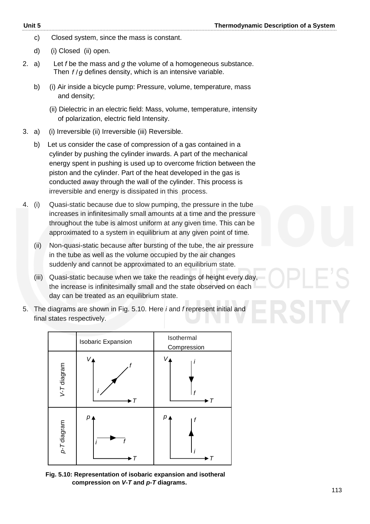- c) Closed system, since the mass is constant.
- d) (i) Closed (ii) open.
- 2. a) Let *f* be the mass and *g* the volume of a homogeneous substance. Then f/g defines density, which is an intensive variable.
	- b) (i) Air inside a bicycle pump: Pressure, volume, temperature, mass and density;
		- (ii) Dielectric in an electric field: Mass, volume, temperature, intensity of polarization, electric field Intensity.
- 3. a) (i) Irreversible (ii) Irreversible (iii) Reversible.
	- b) Let us consider the case of compression of a gas contained in a cylinder by pushing the cylinder inwards. A part of the mechanical energy spent in pushing is used up to overcome friction between the piston and the cylinder. Part of the heat developed in the gas is conducted away through the wall of the cylinder. This process is irreversible and energy is dissipated in this process.
- 4. (i) Quasi-static because due to slow pumping, the pressure in the tube increases in infinitesimally small amounts at a time and the pressure throughout the tube is almost uniform at any given time. This can be approximated to a system in equilibrium at any given point of time.
	- (ii) Non-quasi-static because after bursting of the tube, the air pressure in the tube as well as the volume occupied by the air changes suddenly and cannot be approximated to an equilibrium state.
	- (iii) Quasi-static because when we take the readings of height every day, the increase is infinitesimally small and the state observed on each day can be treated as an equilibrium state.
- 5. The diagrams are shown in Fig. 5.10. Here *i* and *f* represent initial and final states respectively.



**Fig. 5.10: Representation of isobaric expansion and isotheral compression on** *V-T* **and** *p-T* **diagrams.**